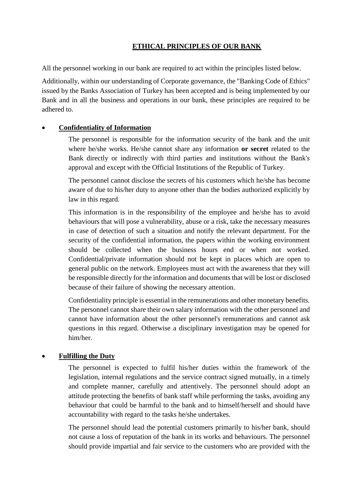## **ETHICAL PRINCIPLES OF OUR BANK**

All the personnel working in our bank are required to act within the principles listed below.

Additionally, within our understanding of Corporate governance, the "Banking Code of Ethics" issued by the Banks Association of Turkey has been accepted and is being implemented by our Bank and in all the business and operations in our bank, these principles are required to be adhered to.

## **Confidentiality of Information**

The personnel is responsible for the information security of the bank and the unit where he/she works. He/she cannot share any information **or secret** related to the Bank directly or indirectly with third parties and institutions without the Bank's approval and except with the Official Institutions of the Republic of Turkey.

The personnel cannot disclose the secrets of his customers which he/she has become aware of due to his/her duty to anyone other than the bodies authorized explicitly by law in this regard.

This information is in the responsibility of the employee and he/she has to avoid behaviours that will pose a vulnerability, abuse or a risk, take the necessary measures in case of detection of such a situation and notify the relevant department. For the security of the confidential information, the papers within the working environment should be collected when the business hours end or when not worked. Confidential/private information should not be kept in places which are open to general public on the network. Employees must act with the awareness that they will be responsible directly for the information and documents that will be lost or disclosed because of their failure of showing the necessary attention.

Confidentiality principle is essential in the remunerations and other monetary benefits. The personnel cannot share their own salary information with the other personnel and cannot have information about the other personnel's remunerations and cannot ask questions in this regard. Otherwise a disciplinary investigation may be opened for him/her.

# **Fulfilling the Duty**

The personnel is expected to fulfil his/her duties within the framework of the legislation, internal regulations and the service contract signed mutually, in a timely and complete manner, carefully and attentively. The personnel should adopt an attitude protecting the benefits of bank staff while performing the tasks, avoiding any behaviour that could be harmful to the bank and to himself/herself and should have accountability with regard to the tasks he/she undertakes.

The personnel should lead the potential customers primarily to his/her bank, should not cause a loss of reputation of the bank in its works and behaviours. The personnel should provide impartial and fair service to the customers who are provided with the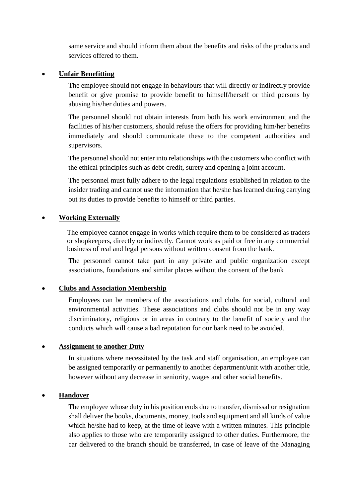same service and should inform them about the benefits and risks of the products and services offered to them.

#### **Unfair Benefitting**

The employee should not engage in behaviours that will directly or indirectly provide benefit or give promise to provide benefit to himself/herself or third persons by abusing his/her duties and powers.

The personnel should not obtain interests from both his work environment and the facilities of his/her customers, should refuse the offers for providing him/her benefits immediately and should communicate these to the competent authorities and supervisors.

The personnel should not enter into relationships with the customers who conflict with the ethical principles such as debt-credit, surety and opening a joint account.

The personnel must fully adhere to the legal regulations established in relation to the insider trading and cannot use the information that he/she has learned during carrying out its duties to provide benefits to himself or third parties.

#### **Working Externally**

The employee cannot engage in works which require them to be considered as traders or shopkeepers, directly or indirectly. Cannot work as paid or free in any commercial business of real and legal persons without written consent from the bank.

The personnel cannot take part in any private and public organization except associations, foundations and similar places without the consent of the bank

### **Clubs and Association Membership**

Employees can be members of the associations and clubs for social, cultural and environmental activities. These associations and clubs should not be in any way discriminatory, religious or in areas in contrary to the benefit of society and the conducts which will cause a bad reputation for our bank need to be avoided.

#### **Assignment to another Duty**

In situations where necessitated by the task and staff organisation, an employee can be assigned temporarily or permanently to another department/unit with another title, however without any decrease in seniority, wages and other social benefits.

#### **Handover**

The employee whose duty in his position ends due to transfer, dismissal or resignation shall deliver the books, documents, money, tools and equipment and all kinds of value which he/she had to keep, at the time of leave with a written minutes. This principle also applies to those who are temporarily assigned to other duties. Furthermore, the car delivered to the branch should be transferred, in case of leave of the Managing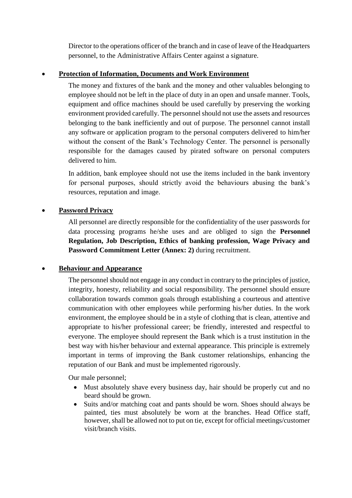Director to the operations officer of the branch and in case of leave of the Headquarters personnel, to the Administrative Affairs Center against a signature.

# **Protection of Information, Documents and Work Environment**

The money and fixtures of the bank and the money and other valuables belonging to employee should not be left in the place of duty in an open and unsafe manner. Tools, equipment and office machines should be used carefully by preserving the working environment provided carefully. The personnel should not use the assets and resources belonging to the bank inefficiently and out of purpose. The personnel cannot install any software or application program to the personal computers delivered to him/her without the consent of the Bank's Technology Center. The personnel is personally responsible for the damages caused by pirated software on personal computers delivered to him.

In addition, bank employee should not use the items included in the bank inventory for personal purposes, should strictly avoid the behaviours abusing the bank's resources, reputation and image.

# **Password Privacy**

All personnel are directly responsible for the confidentiality of the user passwords for data processing programs he/she uses and are obliged to sign the **Personnel Regulation, Job Description, Ethics of banking profession, Wage Privacy and Password Commitment Letter (Annex: 2)** during recruitment.

# **Behaviour and Appearance**

The personnel should not engage in any conduct in contrary to the principles of justice, integrity, honesty, reliability and social responsibility. The personnel should ensure collaboration towards common goals through establishing a courteous and attentive communication with other employees while performing his/her duties. In the work environment, the employee should be in a style of clothing that is clean, attentive and appropriate to his/her professional career; be friendly, interested and respectful to everyone. The employee should represent the Bank which is a trust institution in the best way with his/her behaviour and external appearance. This principle is extremely important in terms of improving the Bank customer relationships, enhancing the reputation of our Bank and must be implemented rigorously.

Our male personnel;

- Must absolutely shave every business day, hair should be properly cut and no beard should be grown.
- Suits and/or matching coat and pants should be worn. Shoes should always be painted, ties must absolutely be worn at the branches. Head Office staff, however, shall be allowed not to put on tie, except for official meetings/customer visit/branch visits.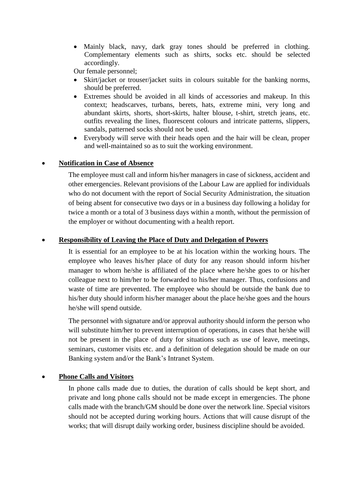Mainly black, navy, dark gray tones should be preferred in clothing. Complementary elements such as shirts, socks etc. should be selected accordingly.

Our female personnel;

- Skirt/jacket or trouser/jacket suits in colours suitable for the banking norms, should be preferred.
- Extremes should be avoided in all kinds of accessories and makeup. In this context; headscarves, turbans, berets, hats, extreme mini, very long and abundant skirts, shorts, short-skirts, halter blouse, t-shirt, stretch jeans, etc. outfits revealing the lines, fluorescent colours and intricate patterns, slippers, sandals, patterned socks should not be used.
- Everybody will serve with their heads open and the hair will be clean, proper and well-maintained so as to suit the working environment.

## **Notification in Case of Absence**

The employee must call and inform his/her managers in case of sickness, accident and other emergencies. Relevant provisions of the Labour Law are applied for individuals who do not document with the report of Social Security Administration, the situation of being absent for consecutive two days or in a business day following a holiday for twice a month or a total of 3 business days within a month, without the permission of the employer or without documenting with a health report.

### **Responsibility of Leaving the Place of Duty and Delegation of Powers**

It is essential for an employee to be at his location within the working hours. The employee who leaves his/her place of duty for any reason should inform his/her manager to whom he/she is affiliated of the place where he/she goes to or his/her colleague next to him/her to be forwarded to his/her manager. Thus, confusions and waste of time are prevented. The employee who should be outside the bank due to his/her duty should inform his/her manager about the place he/she goes and the hours he/she will spend outside.

The personnel with signature and/or approval authority should inform the person who will substitute him/her to prevent interruption of operations, in cases that he/she will not be present in the place of duty for situations such as use of leave, meetings, seminars, customer visits etc. and a definition of delegation should be made on our Banking system and/or the Bank's Intranet System.

# **Phone Calls and Visitors**

In phone calls made due to duties, the duration of calls should be kept short, and private and long phone calls should not be made except in emergencies. The phone calls made with the branch/GM should be done over the network line. Special visitors should not be accepted during working hours. Actions that will cause disrupt of the works; that will disrupt daily working order, business discipline should be avoided.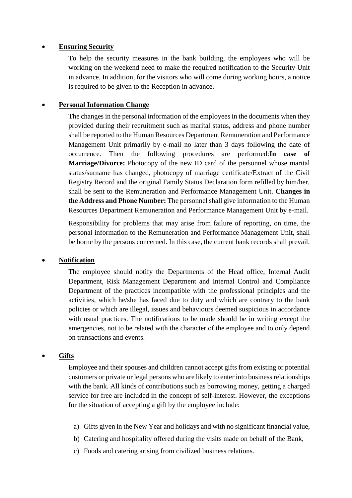#### **Ensuring Security**

To help the security measures in the bank building, the employees who will be working on the weekend need to make the required notification to the Security Unit in advance. In addition, for the visitors who will come during working hours, a notice is required to be given to the Reception in advance.

#### **Personal Information Change**

The changes in the personal information of the employees in the documents when they provided during their recruitment such as marital status, address and phone number shall be reported to the Human Resources Department Remuneration and Performance Management Unit primarily by e-mail no later than 3 days following the date of occurrence. Then the following procedures are performed:**In case of Marriage/Divorce:** Photocopy of the new ID card of the personnel whose marital status/surname has changed, photocopy of marriage certificate/Extract of the Civil Registry Record and the original Family Status Declaration form refilled by him/her, shall be sent to the Remuneration and Performance Management Unit. **Changes in the Address and Phone Number:** The personnel shall give information to the Human Resources Department Remuneration and Performance Management Unit by e-mail.

Responsibility for problems that may arise from failure of reporting, on time, the personal information to the Remuneration and Performance Management Unit, shall be borne by the persons concerned. In this case, the current bank records shall prevail.

### **Notification**

The employee should notify the Departments of the Head office, Internal Audit Department, Risk Management Department and Internal Control and Compliance Department of the practices incompatible with the professional principles and the activities, which he/she has faced due to duty and which are contrary to the bank policies or which are illegal, issues and behaviours deemed suspicious in accordance with usual practices. The notifications to be made should be in writing except the emergencies, not to be related with the character of the employee and to only depend on transactions and events.

### **Gifts**

Employee and their spouses and children cannot accept gifts from existing or potential customers or private or legal persons who are likely to enter into business relationships with the bank. All kinds of contributions such as borrowing money, getting a charged service for free are included in the concept of self-interest. However, the exceptions for the situation of accepting a gift by the employee include:

- a) Gifts given in the New Year and holidays and with no significant financial value,
- b) Catering and hospitality offered during the visits made on behalf of the Bank,
- c) Foods and catering arising from civilized business relations.